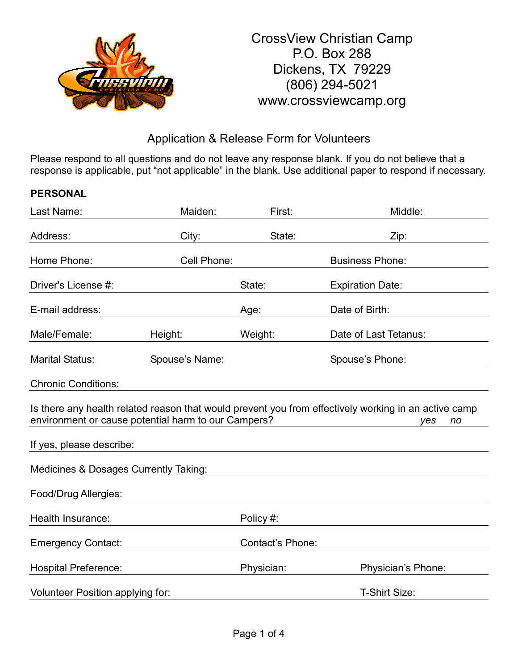

# Application & Release Form for Volunteers

Please respond to all questions and do not leave any response blank. If you do not believe that a response is applicable, put "not applicable" in the blank. Use additional paper to respond if necessary.

## **PERSONAL**

| Last Name:                                          | Maiden:        | First:           | Middle:                                                                                                           |
|-----------------------------------------------------|----------------|------------------|-------------------------------------------------------------------------------------------------------------------|
| Address:                                            | City:          | State:           | Zip:                                                                                                              |
| Home Phone:                                         | Cell Phone:    |                  | <b>Business Phone:</b>                                                                                            |
| Driver's License #:                                 |                | State:           | <b>Expiration Date:</b>                                                                                           |
| E-mail address:                                     |                | Age:             | Date of Birth:                                                                                                    |
| Male/Female:                                        | Height:        | Weight:          | Date of Last Tetanus:                                                                                             |
| <b>Marital Status:</b>                              | Spouse's Name: |                  | Spouse's Phone:                                                                                                   |
| <b>Chronic Conditions:</b>                          |                |                  |                                                                                                                   |
| environment or cause potential harm to our Campers? |                |                  | Is there any health related reason that would prevent you from effectively working in an active camp<br>no<br>yes |
| If yes, please describe:                            |                |                  |                                                                                                                   |
| Medicines & Dosages Currently Taking:               |                |                  |                                                                                                                   |
| Food/Drug Allergies:                                |                |                  |                                                                                                                   |
| Health Insurance:                                   |                | Policy #:        |                                                                                                                   |
| <b>Emergency Contact:</b>                           |                | Contact's Phone: |                                                                                                                   |
| <b>Hospital Preference:</b>                         |                | Physician:       | Physician's Phone:                                                                                                |
| Volunteer Position applying for:                    |                |                  | T-Shirt Size:                                                                                                     |
|                                                     |                |                  |                                                                                                                   |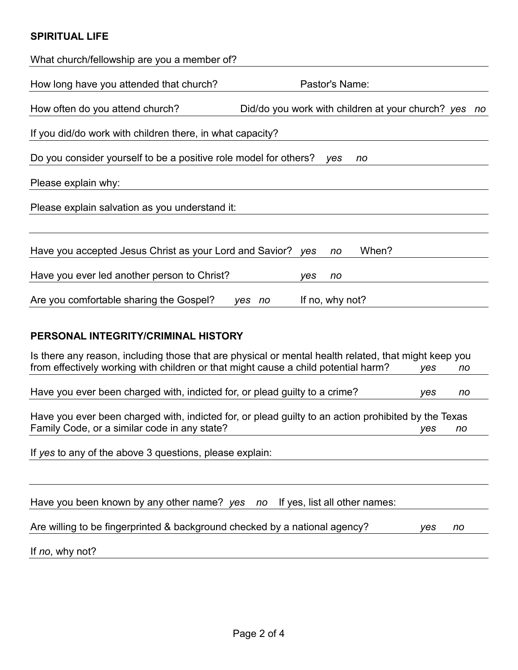## **SPIRITUAL LIFE**

| What church/fellowship are you a member of?                                                                                                                                                       |    |  |  |  |  |
|---------------------------------------------------------------------------------------------------------------------------------------------------------------------------------------------------|----|--|--|--|--|
| Pastor's Name:<br>How long have you attended that church?                                                                                                                                         |    |  |  |  |  |
| How often do you attend church?<br>Did/do you work with children at your church? yes                                                                                                              | no |  |  |  |  |
| If you did/do work with children there, in what capacity?                                                                                                                                         |    |  |  |  |  |
| Do you consider yourself to be a positive role model for others?<br>ves<br>no                                                                                                                     |    |  |  |  |  |
| Please explain why:                                                                                                                                                                               |    |  |  |  |  |
| Please explain salvation as you understand it:                                                                                                                                                    |    |  |  |  |  |
|                                                                                                                                                                                                   |    |  |  |  |  |
| When?<br>Have you accepted Jesus Christ as your Lord and Savior?<br>ves<br>no                                                                                                                     |    |  |  |  |  |
| Have you ever led another person to Christ?<br>yes<br>no                                                                                                                                          |    |  |  |  |  |
| Are you comfortable sharing the Gospel?<br>If no, why not?<br>yes no                                                                                                                              |    |  |  |  |  |
| PERSONAL INTEGRITY/CRIMINAL HISTORY                                                                                                                                                               |    |  |  |  |  |
| Is there any reason, including those that are physical or mental health related, that might keep you<br>from effectively working with children or that might cause a child potential harm?<br>yes | no |  |  |  |  |
| Have you ever been charged with, indicted for, or plead guilty to a crime?<br>yes                                                                                                                 | no |  |  |  |  |
| Have you ever been charged with, indicted for, or plead guilty to an action prohibited by the Texas<br>Family Code, or a similar code in any state?<br>yes<br>no                                  |    |  |  |  |  |
| If yes to any of the above 3 questions, please explain:                                                                                                                                           |    |  |  |  |  |
|                                                                                                                                                                                                   |    |  |  |  |  |

Have you been known by any other name? *yes no* If yes, list all other names:

Are willing to be fingerprinted & background checked by a national agency? *yes no*

If *no*, why not?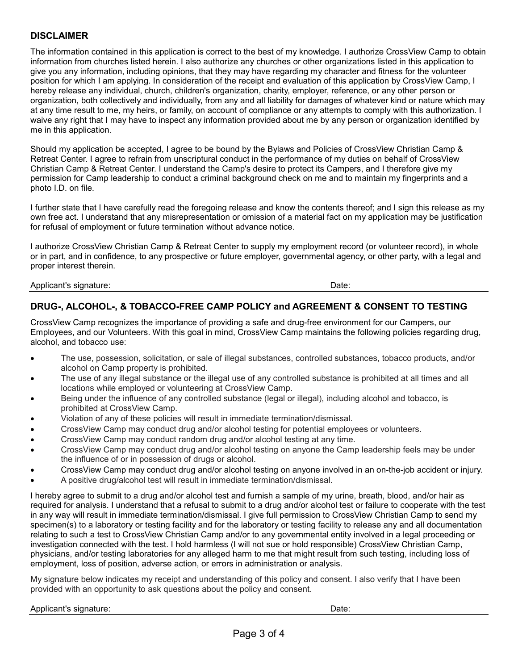### **DISCLAIMER**

The information contained in this application is correct to the best of my knowledge. I authorize CrossView Camp to obtain information from churches listed herein. I also authorize any churches or other organizations listed in this application to give you any information, including opinions, that they may have regarding my character and fitness for the volunteer position for which I am applying. In consideration of the receipt and evaluation of this application by CrossView Camp, I hereby release any individual, church, children's organization, charity, employer, reference, or any other person or organization, both collectively and individually, from any and all liability for damages of whatever kind or nature which may at any time result to me, my heirs, or family, on account of compliance or any attempts to comply with this authorization. I waive any right that I may have to inspect any information provided about me by any person or organization identified by me in this application.

Should my application be accepted, I agree to be bound by the Bylaws and Policies of CrossView Christian Camp & Retreat Center. I agree to refrain from unscriptural conduct in the performance of my duties on behalf of CrossView Christian Camp & Retreat Center. I understand the Camp's desire to protect its Campers, and I therefore give my permission for Camp leadership to conduct a criminal background check on me and to maintain my fingerprints and a photo I.D. on file.

I further state that I have carefully read the foregoing release and know the contents thereof; and I sign this release as my own free act. I understand that any misrepresentation or omission of a material fact on my application may be justification for refusal of employment or future termination without advance notice.

I authorize CrossView Christian Camp & Retreat Center to supply my employment record (or volunteer record), in whole or in part, and in confidence, to any prospective or future employer, governmental agency, or other party, with a legal and proper interest therein.

Applicant's signature: Date:

## **DRUG-, ALCOHOL-, & TOBACCO-FREE CAMP POLICY and AGREEMENT & CONSENT TO TESTING**

CrossView Camp recognizes the importance of providing a safe and drug-free environment for our Campers, our Employees, and our Volunteers. With this goal in mind, CrossView Camp maintains the following policies regarding drug, alcohol, and tobacco use:

- The use, possession, solicitation, or sale of illegal substances, controlled substances, tobacco products, and/or alcohol on Camp property is prohibited.
- The use of any illegal substance or the illegal use of any controlled substance is prohibited at all times and all locations while employed or volunteering at CrossView Camp.
- Being under the influence of any controlled substance (legal or illegal), including alcohol and tobacco, is prohibited at CrossView Camp.
- Violation of any of these policies will result in immediate termination/dismissal.
- CrossView Camp may conduct drug and/or alcohol testing for potential employees or volunteers.
- CrossView Camp may conduct random drug and/or alcohol testing at any time.
- CrossView Camp may conduct drug and/or alcohol testing on anyone the Camp leadership feels may be under the influence of or in possession of drugs or alcohol.
- CrossView Camp may conduct drug and/or alcohol testing on anyone involved in an on-the-job accident or injury.
- A positive drug/alcohol test will result in immediate termination/dismissal.

I hereby agree to submit to a drug and/or alcohol test and furnish a sample of my urine, breath, blood, and/or hair as required for analysis. I understand that a refusal to submit to a drug and/or alcohol test or failure to cooperate with the test in any way will result in immediate termination/dismissal. I give full permission to CrossView Christian Camp to send my specimen(s) to a laboratory or testing facility and for the laboratory or testing facility to release any and all documentation relating to such a test to CrossView Christian Camp and/or to any governmental entity involved in a legal proceeding or investigation connected with the test. I hold harmless (I will not sue or hold responsible) CrossView Christian Camp, physicians, and/or testing laboratories for any alleged harm to me that might result from such testing, including loss of employment, loss of position, adverse action, or errors in administration or analysis.

My signature below indicates my receipt and understanding of this policy and consent. I also verify that I have been provided with an opportunity to ask questions about the policy and consent.

### Applicant's signature: **Date:** Date: **Date:** Date: **Date:** Date: **Date:** Date: **Date: Date: Date: Date: Date: Date: Date: Date: Date: Date: Date: Date: Date: Date: Date: Date: Date: Date:**